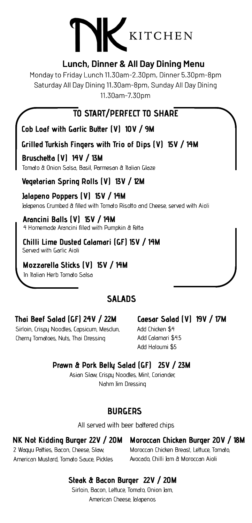## KITCHEN

#### **Lunch, Dinner & All Day Dining Menu**

Monday to Friday Lunch 11.30am-2.30pm, Dinner 5.30pm-8pm Saturday All Day Dining 11.30am-8pm, Sunday All Day Dining 11.30am-7.30pm

**TO START/PERFECT TO SHARE**

**Cob** Loaf with Garlic Butter (V) 10V / 9M

**Grilled Turkish Fingers with Trio of Dips (V) 15V / 14M**

**Bruschetta (V) 14V** / **13M** Tomato & Onion Salsa, Basil, Parmesan & Italian Glaze

**Vegetarian Spring Rolls (V) 13V / 12M**

**Jalapeno Poppers (V) 15V / 14M** Jalapenos Crumbed & filled with Tomato Risotto and Cheese, served with Aioli

**Arancini Balls (V) 15V / 14M** 4 Homemade Arancini filled with Pumpkin & Fetta

**Chilli Lime Dusted Calamari (GF) 15V / 14M** Served with Garlic Aioli

**Mozzarella Sticks (V) 15V / 14M**

In Italian Herb Tomato Salsa

### **SALADS**

#### **Thai Beef Salad (GF) 24V / 22M**

Sirloin, Crispy Noodles, Capsicum, Mesclun, Cherry Tomatoes, Nuts, Thai Dressing

#### **Caesar Salad (V) 19V / 17M**

Add Chicken \$4 Add Calamari \$4.5 Add Haloumi \$5

#### **Prawn & Pork Belly Salad (GF) 25V / 23M**

Asian Slaw, Crispy Noodles, Mint, Coriander, Nahm Jim Dressing

#### **BURGERS**

All served with beer battered chips

2 Wagyu Patties, Bacon, Cheese, Slaw, American Mustard, Tomato Sauce, Pickles

#### **NK Not Kidding Burger 22V / 20M Moroccan Chicken Burger 20V / 18M**

Moroccan Chicken Breast, Lettuce, Tomato, Avocado, Chilli Jam & Moroccan Aioli

#### **Steak & Bacon Burger 22V / 20M**

Sirloin, Bacon, Lettuce, Tomato, Onion Jam, American Cheese, Jalapenos